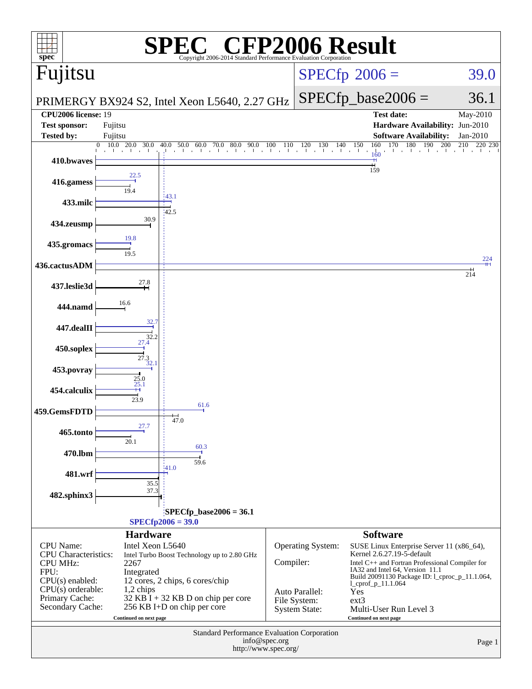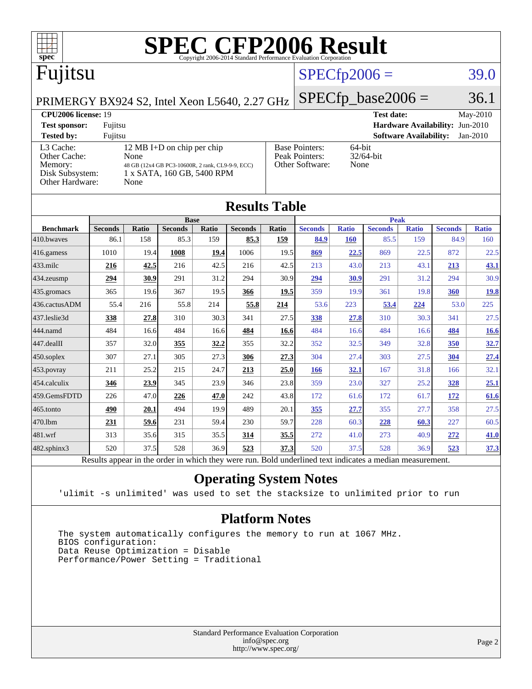

| <b>Results Table</b>   |                                                                                                          |              |                |       |                |       |                |              |                |              |                |              |
|------------------------|----------------------------------------------------------------------------------------------------------|--------------|----------------|-------|----------------|-------|----------------|--------------|----------------|--------------|----------------|--------------|
|                        | <b>Base</b>                                                                                              |              |                |       |                |       | <b>Peak</b>    |              |                |              |                |              |
| <b>Benchmark</b>       | <b>Seconds</b>                                                                                           | <b>Ratio</b> | <b>Seconds</b> | Ratio | <b>Seconds</b> | Ratio | <b>Seconds</b> | <b>Ratio</b> | <b>Seconds</b> | <b>Ratio</b> | <b>Seconds</b> | <b>Ratio</b> |
| 410.bwayes             | 86.1                                                                                                     | 158          | 85.3           | 159   | 85.3           | 159   | 84.9           | <b>160</b>   | 85.5           | 159          | 84.9           | 160          |
| 416.gamess             | 1010                                                                                                     | 19.4         | 1008           | 19.4  | 1006           | 19.5  | 869            | 22.5         | 869            | 22.5         | 872            | 22.5         |
| $433$ .milc            | 216                                                                                                      | 42.5         | 216            | 42.5  | 216            | 42.5  | 213            | 43.0         | 213            | 43.1         | 213            | <u>43.1</u>  |
| $434$ . zeusmp         | 294                                                                                                      | 30.9         | 291            | 31.2  | 294            | 30.9  | 294            | 30.9         | 291            | 31.2         | 294            | 30.9         |
| $435.$ gromacs         | 365                                                                                                      | 19.6         | 367            | 19.5  | 366            | 19.5  | 359            | 19.9         | 361            | 19.8         | 360            | <u>19.8</u>  |
| 436.cactusADM          | 55.4                                                                                                     | 216          | 55.8           | 214   | 55.8           | 214   | 53.6           | 223          | 53.4           | 224          | 53.0           | 225          |
| 437.leslie3d           | 338                                                                                                      | 27.8         | 310            | 30.3  | 341            | 27.5  | 338            | 27.8         | 310            | 30.3         | 341            | 27.5         |
| 444.namd               | 484                                                                                                      | 16.6         | 484            | 16.6  | 484            | 16.6  | 484            | 16.6         | 484            | 16.6         | <u>484</u>     | <u>16.6</u>  |
| $ 447 \text{.}$ dealII | 357                                                                                                      | 32.0         | 355            | 32.2  | 355            | 32.2  | 352            | 32.5         | 349            | 32.8         | 350            | 32.7         |
| $450$ .soplex          | 307                                                                                                      | 27.1         | 305            | 27.3  | 306            | 27.3  | 304            | 27.4         | 303            | 27.5         | 304            | 27.4         |
| $453$ .povray          | 211                                                                                                      | 25.2         | 215            | 24.7  | 213            | 25.0  | 166            | 32.1         | 167            | 31.8         | 166            | 32.1         |
| $ 454$ .calculix       | 346                                                                                                      | 23.9         | 345            | 23.9  | 346            | 23.8  | 359            | 23.0         | 327            | 25.2         | <b>328</b>     | 25.1         |
| 459.GemsFDTD           | 226                                                                                                      | 47.0         | 226            | 47.0  | 242            | 43.8  | 172            | 61.6         | 172            | 61.7         | 172            | 61.6         |
| $465$ .tonto           | 490                                                                                                      | 20.1         | 494            | 19.9  | 489            | 20.1  | 355            | 27.7         | 355            | 27.7         | 358            | 27.5         |
| 470.1bm                | 231                                                                                                      | 59.6         | 231            | 59.4  | 230            | 59.7  | 228            | 60.3         | 228            | 60.3         | 227            | 60.5         |
| $481$ .wrf             | 313                                                                                                      | 35.6         | 315            | 35.5  | 314            | 35.5  | 272            | 41.0         | 273            | 40.9         | 272            | 41.0         |
| $482$ .sphinx $3$      | 520                                                                                                      | 37.5         | 528            | 36.9  | 523            | 37.3  | 520            | 37.5         | 528            | 36.9         | 523            | <u>37.3</u>  |
|                        | Results appear in the order in which they were run. Bold underlined text indicates a median measurement. |              |                |       |                |       |                |              |                |              |                |              |

#### **[Operating System Notes](http://www.spec.org/auto/cpu2006/Docs/result-fields.html#OperatingSystemNotes)**

'ulimit -s unlimited' was used to set the stacksize to unlimited prior to run

### **[Platform Notes](http://www.spec.org/auto/cpu2006/Docs/result-fields.html#PlatformNotes)**

 The system automatically configures the memory to run at 1067 MHz. BIOS configuration: Data Reuse Optimization = Disable Performance/Power Setting = Traditional

> Standard Performance Evaluation Corporation [info@spec.org](mailto:info@spec.org) <http://www.spec.org/>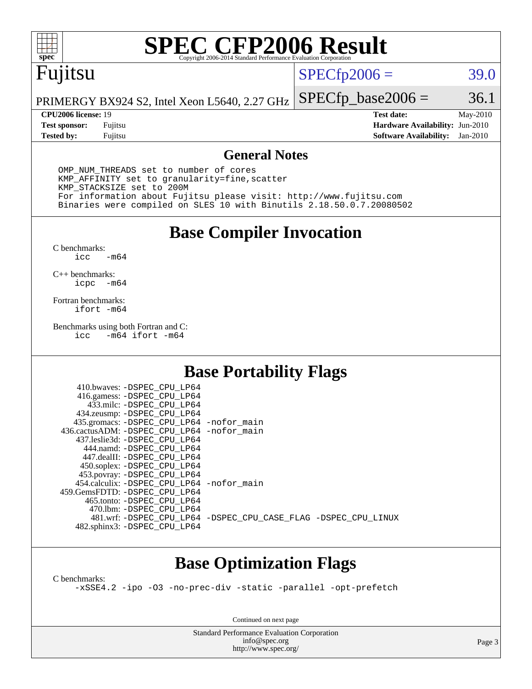

# **[SPEC CFP2006 Result](http://www.spec.org/auto/cpu2006/Docs/result-fields.html#SPECCFP2006Result)**

# Fujitsu

### $SPECfp2006 = 39.0$  $SPECfp2006 = 39.0$

PRIMERGY BX924 S2, Intel Xeon L5640, 2.27 GHz  $SPECTp\_base2006 = 36.1$ 

**[Tested by:](http://www.spec.org/auto/cpu2006/Docs/result-fields.html#Testedby)** Fujitsu **[Software Availability:](http://www.spec.org/auto/cpu2006/Docs/result-fields.html#SoftwareAvailability)** Jan-2010

**[CPU2006 license:](http://www.spec.org/auto/cpu2006/Docs/result-fields.html#CPU2006license)** 19 **[Test date:](http://www.spec.org/auto/cpu2006/Docs/result-fields.html#Testdate)** May-2010 **[Test sponsor:](http://www.spec.org/auto/cpu2006/Docs/result-fields.html#Testsponsor)** Fujitsu **[Hardware Availability:](http://www.spec.org/auto/cpu2006/Docs/result-fields.html#HardwareAvailability)** Jun-2010

### **[General Notes](http://www.spec.org/auto/cpu2006/Docs/result-fields.html#GeneralNotes)**

 OMP\_NUM\_THREADS set to number of cores KMP\_AFFINITY set to granularity=fine,scatter KMP\_STACKSIZE set to 200M For information about Fujitsu please visit: <http://www.fujitsu.com> Binaries were compiled on SLES 10 with Binutils 2.18.50.0.7.20080502

**[Base Compiler Invocation](http://www.spec.org/auto/cpu2006/Docs/result-fields.html#BaseCompilerInvocation)**

[C benchmarks](http://www.spec.org/auto/cpu2006/Docs/result-fields.html#Cbenchmarks):  $-m64$ 

[C++ benchmarks:](http://www.spec.org/auto/cpu2006/Docs/result-fields.html#CXXbenchmarks) [icpc -m64](http://www.spec.org/cpu2006/results/res2010q3/cpu2006-20100618-11730.flags.html#user_CXXbase_intel_icpc_64bit_bedb90c1146cab66620883ef4f41a67e)

[Fortran benchmarks](http://www.spec.org/auto/cpu2006/Docs/result-fields.html#Fortranbenchmarks): [ifort -m64](http://www.spec.org/cpu2006/results/res2010q3/cpu2006-20100618-11730.flags.html#user_FCbase_intel_ifort_64bit_ee9d0fb25645d0210d97eb0527dcc06e)

[Benchmarks using both Fortran and C](http://www.spec.org/auto/cpu2006/Docs/result-fields.html#BenchmarksusingbothFortranandC): [icc -m64](http://www.spec.org/cpu2006/results/res2010q3/cpu2006-20100618-11730.flags.html#user_CC_FCbase_intel_icc_64bit_0b7121f5ab7cfabee23d88897260401c) [ifort -m64](http://www.spec.org/cpu2006/results/res2010q3/cpu2006-20100618-11730.flags.html#user_CC_FCbase_intel_ifort_64bit_ee9d0fb25645d0210d97eb0527dcc06e)

### **[Base Portability Flags](http://www.spec.org/auto/cpu2006/Docs/result-fields.html#BasePortabilityFlags)**

| 410.bwaves: -DSPEC CPU LP64                |                                                                |
|--------------------------------------------|----------------------------------------------------------------|
| 416.gamess: -DSPEC_CPU_LP64                |                                                                |
| 433.milc: -DSPEC CPU LP64                  |                                                                |
| 434.zeusmp: -DSPEC_CPU_LP64                |                                                                |
| 435.gromacs: -DSPEC_CPU_LP64 -nofor_main   |                                                                |
| 436.cactusADM: -DSPEC CPU LP64 -nofor main |                                                                |
| 437.leslie3d: -DSPEC CPU LP64              |                                                                |
| 444.namd: -DSPEC CPU LP64                  |                                                                |
| 447.dealII: -DSPEC_CPU LP64                |                                                                |
| 450.soplex: -DSPEC_CPU_LP64                |                                                                |
| 453.povray: -DSPEC_CPU_LP64                |                                                                |
| 454.calculix: -DSPEC CPU LP64 -nofor main  |                                                                |
| 459.GemsFDTD: - DSPEC_CPU LP64             |                                                                |
| 465.tonto: - DSPEC CPU LP64                |                                                                |
| 470.1bm: - DSPEC CPU LP64                  |                                                                |
|                                            | 481.wrf: -DSPEC CPU_LP64 -DSPEC_CPU_CASE_FLAG -DSPEC_CPU_LINUX |
| 482.sphinx3: -DSPEC_CPU_LP64               |                                                                |
|                                            |                                                                |

### **[Base Optimization Flags](http://www.spec.org/auto/cpu2006/Docs/result-fields.html#BaseOptimizationFlags)**

[C benchmarks](http://www.spec.org/auto/cpu2006/Docs/result-fields.html#Cbenchmarks):

[-xSSE4.2](http://www.spec.org/cpu2006/results/res2010q3/cpu2006-20100618-11730.flags.html#user_CCbase_f-xSSE42_f91528193cf0b216347adb8b939d4107) [-ipo](http://www.spec.org/cpu2006/results/res2010q3/cpu2006-20100618-11730.flags.html#user_CCbase_f-ipo) [-O3](http://www.spec.org/cpu2006/results/res2010q3/cpu2006-20100618-11730.flags.html#user_CCbase_f-O3) [-no-prec-div](http://www.spec.org/cpu2006/results/res2010q3/cpu2006-20100618-11730.flags.html#user_CCbase_f-no-prec-div) [-static](http://www.spec.org/cpu2006/results/res2010q3/cpu2006-20100618-11730.flags.html#user_CCbase_f-static) [-parallel](http://www.spec.org/cpu2006/results/res2010q3/cpu2006-20100618-11730.flags.html#user_CCbase_f-parallel) [-opt-prefetch](http://www.spec.org/cpu2006/results/res2010q3/cpu2006-20100618-11730.flags.html#user_CCbase_f-opt-prefetch)

Continued on next page

Standard Performance Evaluation Corporation [info@spec.org](mailto:info@spec.org) <http://www.spec.org/>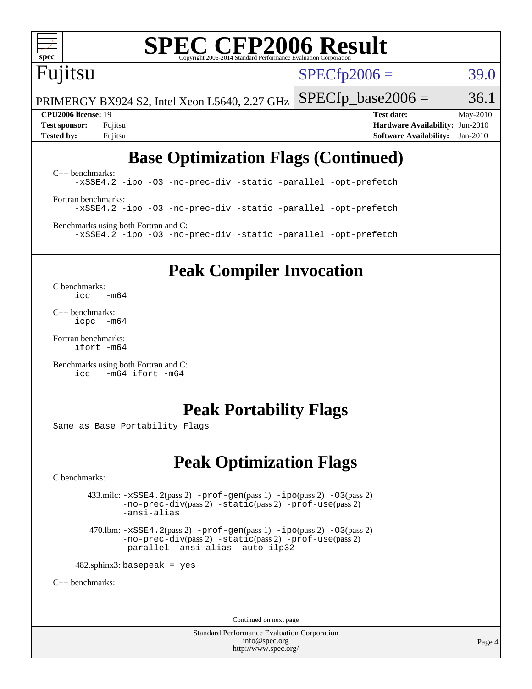

# **[SPEC CFP2006 Result](http://www.spec.org/auto/cpu2006/Docs/result-fields.html#SPECCFP2006Result)**

# Fujitsu

 $SPECTp2006 = 39.0$ 

PRIMERGY BX924 S2, Intel Xeon L5640, 2.27 GHz  $SPECTp\_base2006 = 36.1$ 

**[CPU2006 license:](http://www.spec.org/auto/cpu2006/Docs/result-fields.html#CPU2006license)** 19 **[Test date:](http://www.spec.org/auto/cpu2006/Docs/result-fields.html#Testdate)** May-2010 **[Test sponsor:](http://www.spec.org/auto/cpu2006/Docs/result-fields.html#Testsponsor)** Fujitsu **[Hardware Availability:](http://www.spec.org/auto/cpu2006/Docs/result-fields.html#HardwareAvailability)** Jun-2010 **[Tested by:](http://www.spec.org/auto/cpu2006/Docs/result-fields.html#Testedby)** Fujitsu **[Software Availability:](http://www.spec.org/auto/cpu2006/Docs/result-fields.html#SoftwareAvailability)** Jan-2010

# **[Base Optimization Flags \(Continued\)](http://www.spec.org/auto/cpu2006/Docs/result-fields.html#BaseOptimizationFlags)**

[C++ benchmarks:](http://www.spec.org/auto/cpu2006/Docs/result-fields.html#CXXbenchmarks) [-xSSE4.2](http://www.spec.org/cpu2006/results/res2010q3/cpu2006-20100618-11730.flags.html#user_CXXbase_f-xSSE42_f91528193cf0b216347adb8b939d4107) [-ipo](http://www.spec.org/cpu2006/results/res2010q3/cpu2006-20100618-11730.flags.html#user_CXXbase_f-ipo) [-O3](http://www.spec.org/cpu2006/results/res2010q3/cpu2006-20100618-11730.flags.html#user_CXXbase_f-O3) [-no-prec-div](http://www.spec.org/cpu2006/results/res2010q3/cpu2006-20100618-11730.flags.html#user_CXXbase_f-no-prec-div) [-static](http://www.spec.org/cpu2006/results/res2010q3/cpu2006-20100618-11730.flags.html#user_CXXbase_f-static) [-parallel](http://www.spec.org/cpu2006/results/res2010q3/cpu2006-20100618-11730.flags.html#user_CXXbase_f-parallel) [-opt-prefetch](http://www.spec.org/cpu2006/results/res2010q3/cpu2006-20100618-11730.flags.html#user_CXXbase_f-opt-prefetch) [Fortran benchmarks](http://www.spec.org/auto/cpu2006/Docs/result-fields.html#Fortranbenchmarks): [-xSSE4.2](http://www.spec.org/cpu2006/results/res2010q3/cpu2006-20100618-11730.flags.html#user_FCbase_f-xSSE42_f91528193cf0b216347adb8b939d4107) [-ipo](http://www.spec.org/cpu2006/results/res2010q3/cpu2006-20100618-11730.flags.html#user_FCbase_f-ipo) [-O3](http://www.spec.org/cpu2006/results/res2010q3/cpu2006-20100618-11730.flags.html#user_FCbase_f-O3) [-no-prec-div](http://www.spec.org/cpu2006/results/res2010q3/cpu2006-20100618-11730.flags.html#user_FCbase_f-no-prec-div) [-static](http://www.spec.org/cpu2006/results/res2010q3/cpu2006-20100618-11730.flags.html#user_FCbase_f-static) [-parallel](http://www.spec.org/cpu2006/results/res2010q3/cpu2006-20100618-11730.flags.html#user_FCbase_f-parallel) [-opt-prefetch](http://www.spec.org/cpu2006/results/res2010q3/cpu2006-20100618-11730.flags.html#user_FCbase_f-opt-prefetch) [Benchmarks using both Fortran and C](http://www.spec.org/auto/cpu2006/Docs/result-fields.html#BenchmarksusingbothFortranandC):

[-xSSE4.2](http://www.spec.org/cpu2006/results/res2010q3/cpu2006-20100618-11730.flags.html#user_CC_FCbase_f-xSSE42_f91528193cf0b216347adb8b939d4107) [-ipo](http://www.spec.org/cpu2006/results/res2010q3/cpu2006-20100618-11730.flags.html#user_CC_FCbase_f-ipo) [-O3](http://www.spec.org/cpu2006/results/res2010q3/cpu2006-20100618-11730.flags.html#user_CC_FCbase_f-O3) [-no-prec-div](http://www.spec.org/cpu2006/results/res2010q3/cpu2006-20100618-11730.flags.html#user_CC_FCbase_f-no-prec-div) [-static](http://www.spec.org/cpu2006/results/res2010q3/cpu2006-20100618-11730.flags.html#user_CC_FCbase_f-static) [-parallel](http://www.spec.org/cpu2006/results/res2010q3/cpu2006-20100618-11730.flags.html#user_CC_FCbase_f-parallel) [-opt-prefetch](http://www.spec.org/cpu2006/results/res2010q3/cpu2006-20100618-11730.flags.html#user_CC_FCbase_f-opt-prefetch)

**[Peak Compiler Invocation](http://www.spec.org/auto/cpu2006/Docs/result-fields.html#PeakCompilerInvocation)**

[C benchmarks](http://www.spec.org/auto/cpu2006/Docs/result-fields.html#Cbenchmarks):  $\text{icc}$   $-\text{m64}$ 

[C++ benchmarks:](http://www.spec.org/auto/cpu2006/Docs/result-fields.html#CXXbenchmarks) [icpc -m64](http://www.spec.org/cpu2006/results/res2010q3/cpu2006-20100618-11730.flags.html#user_CXXpeak_intel_icpc_64bit_bedb90c1146cab66620883ef4f41a67e)

[Fortran benchmarks](http://www.spec.org/auto/cpu2006/Docs/result-fields.html#Fortranbenchmarks): [ifort -m64](http://www.spec.org/cpu2006/results/res2010q3/cpu2006-20100618-11730.flags.html#user_FCpeak_intel_ifort_64bit_ee9d0fb25645d0210d97eb0527dcc06e)

[Benchmarks using both Fortran and C](http://www.spec.org/auto/cpu2006/Docs/result-fields.html#BenchmarksusingbothFortranandC): [icc -m64](http://www.spec.org/cpu2006/results/res2010q3/cpu2006-20100618-11730.flags.html#user_CC_FCpeak_intel_icc_64bit_0b7121f5ab7cfabee23d88897260401c) [ifort -m64](http://www.spec.org/cpu2006/results/res2010q3/cpu2006-20100618-11730.flags.html#user_CC_FCpeak_intel_ifort_64bit_ee9d0fb25645d0210d97eb0527dcc06e)

### **[Peak Portability Flags](http://www.spec.org/auto/cpu2006/Docs/result-fields.html#PeakPortabilityFlags)**

Same as Base Portability Flags

### **[Peak Optimization Flags](http://www.spec.org/auto/cpu2006/Docs/result-fields.html#PeakOptimizationFlags)**

[C benchmarks](http://www.spec.org/auto/cpu2006/Docs/result-fields.html#Cbenchmarks):

 $433 \text{.}$ milc:  $-xSSE4$ .  $2(pass 2)$  - $prof-gen(pass 1)$  - $ipo(pass 2)$  [-O3](http://www.spec.org/cpu2006/results/res2010q3/cpu2006-20100618-11730.flags.html#user_peakPASS2_CFLAGSPASS2_LDFLAGS433_milc_f-O3) $(pass 2)$ [-no-prec-div](http://www.spec.org/cpu2006/results/res2010q3/cpu2006-20100618-11730.flags.html#user_peakPASS2_CFLAGSPASS2_LDFLAGS433_milc_f-no-prec-div)(pass 2) [-static](http://www.spec.org/cpu2006/results/res2010q3/cpu2006-20100618-11730.flags.html#user_peakPASS2_CFLAGSPASS2_LDFLAGS433_milc_f-static)(pass 2) [-prof-use](http://www.spec.org/cpu2006/results/res2010q3/cpu2006-20100618-11730.flags.html#user_peakPASS2_CFLAGSPASS2_LDFLAGS433_milc_prof_use_bccf7792157ff70d64e32fe3e1250b55)(pass 2) [-ansi-alias](http://www.spec.org/cpu2006/results/res2010q3/cpu2006-20100618-11730.flags.html#user_peakOPTIMIZE433_milc_f-ansi-alias)

 470.lbm: [-xSSE4.2](http://www.spec.org/cpu2006/results/res2010q3/cpu2006-20100618-11730.flags.html#user_peakPASS2_CFLAGSPASS2_LDFLAGS470_lbm_f-xSSE42_f91528193cf0b216347adb8b939d4107)(pass 2) [-prof-gen](http://www.spec.org/cpu2006/results/res2010q3/cpu2006-20100618-11730.flags.html#user_peakPASS1_CFLAGSPASS1_LDFLAGS470_lbm_prof_gen_e43856698f6ca7b7e442dfd80e94a8fc)(pass 1) [-ipo](http://www.spec.org/cpu2006/results/res2010q3/cpu2006-20100618-11730.flags.html#user_peakPASS2_CFLAGSPASS2_LDFLAGS470_lbm_f-ipo)(pass 2) [-O3](http://www.spec.org/cpu2006/results/res2010q3/cpu2006-20100618-11730.flags.html#user_peakPASS2_CFLAGSPASS2_LDFLAGS470_lbm_f-O3)(pass 2) [-no-prec-div](http://www.spec.org/cpu2006/results/res2010q3/cpu2006-20100618-11730.flags.html#user_peakPASS2_CFLAGSPASS2_LDFLAGS470_lbm_f-no-prec-div)(pass 2) [-static](http://www.spec.org/cpu2006/results/res2010q3/cpu2006-20100618-11730.flags.html#user_peakPASS2_CFLAGSPASS2_LDFLAGS470_lbm_f-static)(pass 2) [-prof-use](http://www.spec.org/cpu2006/results/res2010q3/cpu2006-20100618-11730.flags.html#user_peakPASS2_CFLAGSPASS2_LDFLAGS470_lbm_prof_use_bccf7792157ff70d64e32fe3e1250b55)(pass 2) [-parallel](http://www.spec.org/cpu2006/results/res2010q3/cpu2006-20100618-11730.flags.html#user_peakOPTIMIZE470_lbm_f-parallel) [-ansi-alias](http://www.spec.org/cpu2006/results/res2010q3/cpu2006-20100618-11730.flags.html#user_peakOPTIMIZE470_lbm_f-ansi-alias) [-auto-ilp32](http://www.spec.org/cpu2006/results/res2010q3/cpu2006-20100618-11730.flags.html#user_peakCOPTIMIZE470_lbm_f-auto-ilp32)

 $482$ .sphinx3: basepeak = yes

[C++ benchmarks:](http://www.spec.org/auto/cpu2006/Docs/result-fields.html#CXXbenchmarks)

Continued on next page

Standard Performance Evaluation Corporation [info@spec.org](mailto:info@spec.org) <http://www.spec.org/>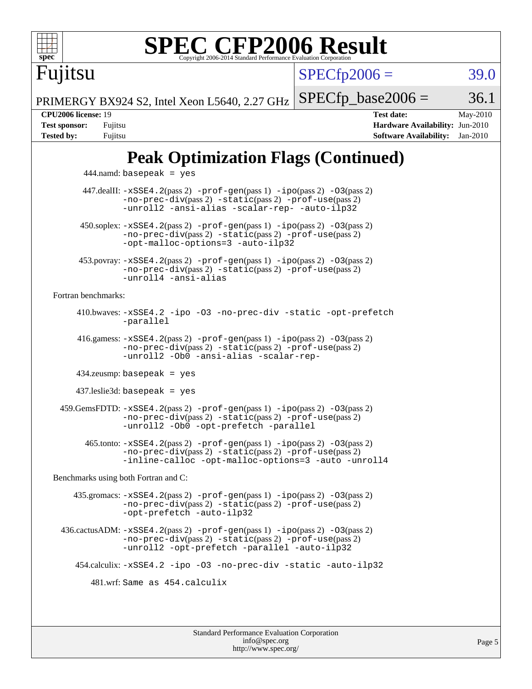

# **[SPEC CFP2006 Result](http://www.spec.org/auto/cpu2006/Docs/result-fields.html#SPECCFP2006Result)**

 $SPECTp2006 = 39.0$ 

PRIMERGY BX924 S2, Intel Xeon L5640, 2.27 GHz  $SPECTp\_base2006 = 36.1$ 

Fujitsu

**[CPU2006 license:](http://www.spec.org/auto/cpu2006/Docs/result-fields.html#CPU2006license)** 19 **[Test date:](http://www.spec.org/auto/cpu2006/Docs/result-fields.html#Testdate)** May-2010 **[Test sponsor:](http://www.spec.org/auto/cpu2006/Docs/result-fields.html#Testsponsor)** Fujitsu **[Hardware Availability:](http://www.spec.org/auto/cpu2006/Docs/result-fields.html#HardwareAvailability)** Jun-2010 **[Tested by:](http://www.spec.org/auto/cpu2006/Docs/result-fields.html#Testedby)** Fujitsu **[Software Availability:](http://www.spec.org/auto/cpu2006/Docs/result-fields.html#SoftwareAvailability)** Jan-2010

# **[Peak Optimization Flags \(Continued\)](http://www.spec.org/auto/cpu2006/Docs/result-fields.html#PeakOptimizationFlags)**

 444.namd: basepeak = yes 447.dealII: [-xSSE4.2](http://www.spec.org/cpu2006/results/res2010q3/cpu2006-20100618-11730.flags.html#user_peakPASS2_CXXFLAGSPASS2_LDFLAGS447_dealII_f-xSSE42_f91528193cf0b216347adb8b939d4107)(pass 2) [-prof-gen](http://www.spec.org/cpu2006/results/res2010q3/cpu2006-20100618-11730.flags.html#user_peakPASS1_CXXFLAGSPASS1_LDFLAGS447_dealII_prof_gen_e43856698f6ca7b7e442dfd80e94a8fc)(pass 1) [-ipo](http://www.spec.org/cpu2006/results/res2010q3/cpu2006-20100618-11730.flags.html#user_peakPASS2_CXXFLAGSPASS2_LDFLAGS447_dealII_f-ipo)(pass 2) [-O3](http://www.spec.org/cpu2006/results/res2010q3/cpu2006-20100618-11730.flags.html#user_peakPASS2_CXXFLAGSPASS2_LDFLAGS447_dealII_f-O3)(pass 2) [-no-prec-div](http://www.spec.org/cpu2006/results/res2010q3/cpu2006-20100618-11730.flags.html#user_peakPASS2_CXXFLAGSPASS2_LDFLAGS447_dealII_f-no-prec-div)(pass 2) [-static](http://www.spec.org/cpu2006/results/res2010q3/cpu2006-20100618-11730.flags.html#user_peakPASS2_CXXFLAGSPASS2_LDFLAGS447_dealII_f-static)(pass 2) [-prof-use](http://www.spec.org/cpu2006/results/res2010q3/cpu2006-20100618-11730.flags.html#user_peakPASS2_CXXFLAGSPASS2_LDFLAGS447_dealII_prof_use_bccf7792157ff70d64e32fe3e1250b55)(pass 2) [-unroll2](http://www.spec.org/cpu2006/results/res2010q3/cpu2006-20100618-11730.flags.html#user_peakOPTIMIZE447_dealII_f-unroll_784dae83bebfb236979b41d2422d7ec2) [-ansi-alias](http://www.spec.org/cpu2006/results/res2010q3/cpu2006-20100618-11730.flags.html#user_peakOPTIMIZE447_dealII_f-ansi-alias) [-scalar-rep-](http://www.spec.org/cpu2006/results/res2010q3/cpu2006-20100618-11730.flags.html#user_peakOPTIMIZE447_dealII_f-disablescalarrep_abbcad04450fb118e4809c81d83c8a1d) [-auto-ilp32](http://www.spec.org/cpu2006/results/res2010q3/cpu2006-20100618-11730.flags.html#user_peakCXXOPTIMIZE447_dealII_f-auto-ilp32)  $450.\text{soplex: } -x\text{SSE4}.2(\text{pass 2}) -\text{prof-gen}(\text{pass 1}) -\text{ipo}(\text{pass 2}) -\text{O3}(\text{pass 2})$ [-no-prec-div](http://www.spec.org/cpu2006/results/res2010q3/cpu2006-20100618-11730.flags.html#user_peakPASS2_CXXFLAGSPASS2_LDFLAGS450_soplex_f-no-prec-div)(pass 2) [-static](http://www.spec.org/cpu2006/results/res2010q3/cpu2006-20100618-11730.flags.html#user_peakPASS2_CXXFLAGSPASS2_LDFLAGS450_soplex_f-static)(pass 2) [-prof-use](http://www.spec.org/cpu2006/results/res2010q3/cpu2006-20100618-11730.flags.html#user_peakPASS2_CXXFLAGSPASS2_LDFLAGS450_soplex_prof_use_bccf7792157ff70d64e32fe3e1250b55)(pass 2) [-opt-malloc-options=3](http://www.spec.org/cpu2006/results/res2010q3/cpu2006-20100618-11730.flags.html#user_peakOPTIMIZE450_soplex_f-opt-malloc-options_13ab9b803cf986b4ee62f0a5998c2238) [-auto-ilp32](http://www.spec.org/cpu2006/results/res2010q3/cpu2006-20100618-11730.flags.html#user_peakCXXOPTIMIZE450_soplex_f-auto-ilp32) 453.povray: [-xSSE4.2](http://www.spec.org/cpu2006/results/res2010q3/cpu2006-20100618-11730.flags.html#user_peakPASS2_CXXFLAGSPASS2_LDFLAGS453_povray_f-xSSE42_f91528193cf0b216347adb8b939d4107)(pass 2) [-prof-gen](http://www.spec.org/cpu2006/results/res2010q3/cpu2006-20100618-11730.flags.html#user_peakPASS1_CXXFLAGSPASS1_LDFLAGS453_povray_prof_gen_e43856698f6ca7b7e442dfd80e94a8fc)(pass 1) [-ipo](http://www.spec.org/cpu2006/results/res2010q3/cpu2006-20100618-11730.flags.html#user_peakPASS2_CXXFLAGSPASS2_LDFLAGS453_povray_f-ipo)(pass 2) [-O3](http://www.spec.org/cpu2006/results/res2010q3/cpu2006-20100618-11730.flags.html#user_peakPASS2_CXXFLAGSPASS2_LDFLAGS453_povray_f-O3)(pass 2) [-no-prec-div](http://www.spec.org/cpu2006/results/res2010q3/cpu2006-20100618-11730.flags.html#user_peakPASS2_CXXFLAGSPASS2_LDFLAGS453_povray_f-no-prec-div)(pass 2) [-static](http://www.spec.org/cpu2006/results/res2010q3/cpu2006-20100618-11730.flags.html#user_peakPASS2_CXXFLAGSPASS2_LDFLAGS453_povray_f-static)(pass 2) [-prof-use](http://www.spec.org/cpu2006/results/res2010q3/cpu2006-20100618-11730.flags.html#user_peakPASS2_CXXFLAGSPASS2_LDFLAGS453_povray_prof_use_bccf7792157ff70d64e32fe3e1250b55)(pass 2) [-unroll4](http://www.spec.org/cpu2006/results/res2010q3/cpu2006-20100618-11730.flags.html#user_peakCXXOPTIMIZE453_povray_f-unroll_4e5e4ed65b7fd20bdcd365bec371b81f) [-ansi-alias](http://www.spec.org/cpu2006/results/res2010q3/cpu2006-20100618-11730.flags.html#user_peakCXXOPTIMIZE453_povray_f-ansi-alias) [Fortran benchmarks](http://www.spec.org/auto/cpu2006/Docs/result-fields.html#Fortranbenchmarks): 410.bwaves: [-xSSE4.2](http://www.spec.org/cpu2006/results/res2010q3/cpu2006-20100618-11730.flags.html#user_peakOPTIMIZE410_bwaves_f-xSSE42_f91528193cf0b216347adb8b939d4107) [-ipo](http://www.spec.org/cpu2006/results/res2010q3/cpu2006-20100618-11730.flags.html#user_peakOPTIMIZE410_bwaves_f-ipo) [-O3](http://www.spec.org/cpu2006/results/res2010q3/cpu2006-20100618-11730.flags.html#user_peakOPTIMIZE410_bwaves_f-O3) [-no-prec-div](http://www.spec.org/cpu2006/results/res2010q3/cpu2006-20100618-11730.flags.html#user_peakOPTIMIZE410_bwaves_f-no-prec-div) [-static](http://www.spec.org/cpu2006/results/res2010q3/cpu2006-20100618-11730.flags.html#user_peakOPTIMIZE410_bwaves_f-static) [-opt-prefetch](http://www.spec.org/cpu2006/results/res2010q3/cpu2006-20100618-11730.flags.html#user_peakOPTIMIZE410_bwaves_f-opt-prefetch) [-parallel](http://www.spec.org/cpu2006/results/res2010q3/cpu2006-20100618-11730.flags.html#user_peakOPTIMIZE410_bwaves_f-parallel) 416.gamess: [-xSSE4.2](http://www.spec.org/cpu2006/results/res2010q3/cpu2006-20100618-11730.flags.html#user_peakPASS2_FFLAGSPASS2_LDFLAGS416_gamess_f-xSSE42_f91528193cf0b216347adb8b939d4107)(pass 2) [-prof-gen](http://www.spec.org/cpu2006/results/res2010q3/cpu2006-20100618-11730.flags.html#user_peakPASS1_FFLAGSPASS1_LDFLAGS416_gamess_prof_gen_e43856698f6ca7b7e442dfd80e94a8fc)(pass 1) [-ipo](http://www.spec.org/cpu2006/results/res2010q3/cpu2006-20100618-11730.flags.html#user_peakPASS2_FFLAGSPASS2_LDFLAGS416_gamess_f-ipo)(pass 2) [-O3](http://www.spec.org/cpu2006/results/res2010q3/cpu2006-20100618-11730.flags.html#user_peakPASS2_FFLAGSPASS2_LDFLAGS416_gamess_f-O3)(pass 2) [-no-prec-div](http://www.spec.org/cpu2006/results/res2010q3/cpu2006-20100618-11730.flags.html#user_peakPASS2_FFLAGSPASS2_LDFLAGS416_gamess_f-no-prec-div)(pass 2) [-static](http://www.spec.org/cpu2006/results/res2010q3/cpu2006-20100618-11730.flags.html#user_peakPASS2_FFLAGSPASS2_LDFLAGS416_gamess_f-static)(pass 2) [-prof-use](http://www.spec.org/cpu2006/results/res2010q3/cpu2006-20100618-11730.flags.html#user_peakPASS2_FFLAGSPASS2_LDFLAGS416_gamess_prof_use_bccf7792157ff70d64e32fe3e1250b55)(pass 2) [-unroll2](http://www.spec.org/cpu2006/results/res2010q3/cpu2006-20100618-11730.flags.html#user_peakOPTIMIZE416_gamess_f-unroll_784dae83bebfb236979b41d2422d7ec2) [-Ob0](http://www.spec.org/cpu2006/results/res2010q3/cpu2006-20100618-11730.flags.html#user_peakOPTIMIZE416_gamess_f-Ob_n_fbe6f6428adb7d4b74b1e99bb2444c2d) [-ansi-alias](http://www.spec.org/cpu2006/results/res2010q3/cpu2006-20100618-11730.flags.html#user_peakOPTIMIZE416_gamess_f-ansi-alias) [-scalar-rep-](http://www.spec.org/cpu2006/results/res2010q3/cpu2006-20100618-11730.flags.html#user_peakOPTIMIZE416_gamess_f-disablescalarrep_abbcad04450fb118e4809c81d83c8a1d) 434.zeusmp: basepeak = yes 437.leslie3d: basepeak = yes  $459$ .GemsFDTD:  $-xSSE4$ .  $2(pass 2)$  -prof-qen(pass 1) [-ipo](http://www.spec.org/cpu2006/results/res2010q3/cpu2006-20100618-11730.flags.html#user_peakPASS2_FFLAGSPASS2_LDFLAGS459_GemsFDTD_f-ipo)(pass 2) -03(pass 2) [-no-prec-div](http://www.spec.org/cpu2006/results/res2010q3/cpu2006-20100618-11730.flags.html#user_peakPASS2_FFLAGSPASS2_LDFLAGS459_GemsFDTD_f-no-prec-div)(pass 2) [-static](http://www.spec.org/cpu2006/results/res2010q3/cpu2006-20100618-11730.flags.html#user_peakPASS2_FFLAGSPASS2_LDFLAGS459_GemsFDTD_f-static)(pass 2) [-prof-use](http://www.spec.org/cpu2006/results/res2010q3/cpu2006-20100618-11730.flags.html#user_peakPASS2_FFLAGSPASS2_LDFLAGS459_GemsFDTD_prof_use_bccf7792157ff70d64e32fe3e1250b55)(pass 2) [-unroll2](http://www.spec.org/cpu2006/results/res2010q3/cpu2006-20100618-11730.flags.html#user_peakOPTIMIZE459_GemsFDTD_f-unroll_784dae83bebfb236979b41d2422d7ec2) [-Ob0](http://www.spec.org/cpu2006/results/res2010q3/cpu2006-20100618-11730.flags.html#user_peakOPTIMIZE459_GemsFDTD_f-Ob_n_fbe6f6428adb7d4b74b1e99bb2444c2d) [-opt-prefetch](http://www.spec.org/cpu2006/results/res2010q3/cpu2006-20100618-11730.flags.html#user_peakOPTIMIZE459_GemsFDTD_f-opt-prefetch) [-parallel](http://www.spec.org/cpu2006/results/res2010q3/cpu2006-20100618-11730.flags.html#user_peakOPTIMIZE459_GemsFDTD_f-parallel) 465.tonto: [-xSSE4.2](http://www.spec.org/cpu2006/results/res2010q3/cpu2006-20100618-11730.flags.html#user_peakPASS2_FFLAGSPASS2_LDFLAGS465_tonto_f-xSSE42_f91528193cf0b216347adb8b939d4107)(pass 2) [-prof-gen](http://www.spec.org/cpu2006/results/res2010q3/cpu2006-20100618-11730.flags.html#user_peakPASS1_FFLAGSPASS1_LDFLAGS465_tonto_prof_gen_e43856698f6ca7b7e442dfd80e94a8fc)(pass 1) [-ipo](http://www.spec.org/cpu2006/results/res2010q3/cpu2006-20100618-11730.flags.html#user_peakPASS2_FFLAGSPASS2_LDFLAGS465_tonto_f-ipo)(pass 2) [-O3](http://www.spec.org/cpu2006/results/res2010q3/cpu2006-20100618-11730.flags.html#user_peakPASS2_FFLAGSPASS2_LDFLAGS465_tonto_f-O3)(pass 2) [-no-prec-div](http://www.spec.org/cpu2006/results/res2010q3/cpu2006-20100618-11730.flags.html#user_peakPASS2_FFLAGSPASS2_LDFLAGS465_tonto_f-no-prec-div)(pass 2) [-static](http://www.spec.org/cpu2006/results/res2010q3/cpu2006-20100618-11730.flags.html#user_peakPASS2_FFLAGSPASS2_LDFLAGS465_tonto_f-static)(pass 2) [-prof-use](http://www.spec.org/cpu2006/results/res2010q3/cpu2006-20100618-11730.flags.html#user_peakPASS2_FFLAGSPASS2_LDFLAGS465_tonto_prof_use_bccf7792157ff70d64e32fe3e1250b55)(pass 2) [-inline-calloc](http://www.spec.org/cpu2006/results/res2010q3/cpu2006-20100618-11730.flags.html#user_peakOPTIMIZE465_tonto_f-inline-calloc) [-opt-malloc-options=3](http://www.spec.org/cpu2006/results/res2010q3/cpu2006-20100618-11730.flags.html#user_peakOPTIMIZE465_tonto_f-opt-malloc-options_13ab9b803cf986b4ee62f0a5998c2238) [-auto](http://www.spec.org/cpu2006/results/res2010q3/cpu2006-20100618-11730.flags.html#user_peakOPTIMIZE465_tonto_f-auto) [-unroll4](http://www.spec.org/cpu2006/results/res2010q3/cpu2006-20100618-11730.flags.html#user_peakOPTIMIZE465_tonto_f-unroll_4e5e4ed65b7fd20bdcd365bec371b81f) [Benchmarks using both Fortran and C](http://www.spec.org/auto/cpu2006/Docs/result-fields.html#BenchmarksusingbothFortranandC): 435.gromacs: [-xSSE4.2](http://www.spec.org/cpu2006/results/res2010q3/cpu2006-20100618-11730.flags.html#user_peakPASS2_CFLAGSPASS2_FFLAGSPASS2_LDFLAGS435_gromacs_f-xSSE42_f91528193cf0b216347adb8b939d4107)(pass 2) [-prof-gen](http://www.spec.org/cpu2006/results/res2010q3/cpu2006-20100618-11730.flags.html#user_peakPASS1_CFLAGSPASS1_FFLAGSPASS1_LDFLAGS435_gromacs_prof_gen_e43856698f6ca7b7e442dfd80e94a8fc)(pass 1) [-ipo](http://www.spec.org/cpu2006/results/res2010q3/cpu2006-20100618-11730.flags.html#user_peakPASS2_CFLAGSPASS2_FFLAGSPASS2_LDFLAGS435_gromacs_f-ipo)(pass 2) [-O3](http://www.spec.org/cpu2006/results/res2010q3/cpu2006-20100618-11730.flags.html#user_peakPASS2_CFLAGSPASS2_FFLAGSPASS2_LDFLAGS435_gromacs_f-O3)(pass 2) [-no-prec-div](http://www.spec.org/cpu2006/results/res2010q3/cpu2006-20100618-11730.flags.html#user_peakPASS2_CFLAGSPASS2_FFLAGSPASS2_LDFLAGS435_gromacs_f-no-prec-div)(pass 2) [-static](http://www.spec.org/cpu2006/results/res2010q3/cpu2006-20100618-11730.flags.html#user_peakPASS2_CFLAGSPASS2_FFLAGSPASS2_LDFLAGS435_gromacs_f-static)(pass 2) [-prof-use](http://www.spec.org/cpu2006/results/res2010q3/cpu2006-20100618-11730.flags.html#user_peakPASS2_CFLAGSPASS2_FFLAGSPASS2_LDFLAGS435_gromacs_prof_use_bccf7792157ff70d64e32fe3e1250b55)(pass 2) [-opt-prefetch](http://www.spec.org/cpu2006/results/res2010q3/cpu2006-20100618-11730.flags.html#user_peakOPTIMIZE435_gromacs_f-opt-prefetch) [-auto-ilp32](http://www.spec.org/cpu2006/results/res2010q3/cpu2006-20100618-11730.flags.html#user_peakCOPTIMIZE435_gromacs_f-auto-ilp32) 436.cactusADM: [-xSSE4.2](http://www.spec.org/cpu2006/results/res2010q3/cpu2006-20100618-11730.flags.html#user_peakPASS2_CFLAGSPASS2_FFLAGSPASS2_LDFLAGS436_cactusADM_f-xSSE42_f91528193cf0b216347adb8b939d4107)(pass 2) [-prof-gen](http://www.spec.org/cpu2006/results/res2010q3/cpu2006-20100618-11730.flags.html#user_peakPASS1_CFLAGSPASS1_FFLAGSPASS1_LDFLAGS436_cactusADM_prof_gen_e43856698f6ca7b7e442dfd80e94a8fc)(pass 1) [-ipo](http://www.spec.org/cpu2006/results/res2010q3/cpu2006-20100618-11730.flags.html#user_peakPASS2_CFLAGSPASS2_FFLAGSPASS2_LDFLAGS436_cactusADM_f-ipo)(pass 2) [-O3](http://www.spec.org/cpu2006/results/res2010q3/cpu2006-20100618-11730.flags.html#user_peakPASS2_CFLAGSPASS2_FFLAGSPASS2_LDFLAGS436_cactusADM_f-O3)(pass 2) [-no-prec-div](http://www.spec.org/cpu2006/results/res2010q3/cpu2006-20100618-11730.flags.html#user_peakPASS2_CFLAGSPASS2_FFLAGSPASS2_LDFLAGS436_cactusADM_f-no-prec-div)(pass 2) [-static](http://www.spec.org/cpu2006/results/res2010q3/cpu2006-20100618-11730.flags.html#user_peakPASS2_CFLAGSPASS2_FFLAGSPASS2_LDFLAGS436_cactusADM_f-static)(pass 2) [-prof-use](http://www.spec.org/cpu2006/results/res2010q3/cpu2006-20100618-11730.flags.html#user_peakPASS2_CFLAGSPASS2_FFLAGSPASS2_LDFLAGS436_cactusADM_prof_use_bccf7792157ff70d64e32fe3e1250b55)(pass 2) [-unroll2](http://www.spec.org/cpu2006/results/res2010q3/cpu2006-20100618-11730.flags.html#user_peakOPTIMIZE436_cactusADM_f-unroll_784dae83bebfb236979b41d2422d7ec2) [-opt-prefetch](http://www.spec.org/cpu2006/results/res2010q3/cpu2006-20100618-11730.flags.html#user_peakOPTIMIZE436_cactusADM_f-opt-prefetch) [-parallel](http://www.spec.org/cpu2006/results/res2010q3/cpu2006-20100618-11730.flags.html#user_peakOPTIMIZE436_cactusADM_f-parallel) [-auto-ilp32](http://www.spec.org/cpu2006/results/res2010q3/cpu2006-20100618-11730.flags.html#user_peakCOPTIMIZE436_cactusADM_f-auto-ilp32) 454.calculix: [-xSSE4.2](http://www.spec.org/cpu2006/results/res2010q3/cpu2006-20100618-11730.flags.html#user_peakOPTIMIZE454_calculix_f-xSSE42_f91528193cf0b216347adb8b939d4107) [-ipo](http://www.spec.org/cpu2006/results/res2010q3/cpu2006-20100618-11730.flags.html#user_peakOPTIMIZE454_calculix_f-ipo) [-O3](http://www.spec.org/cpu2006/results/res2010q3/cpu2006-20100618-11730.flags.html#user_peakOPTIMIZE454_calculix_f-O3) [-no-prec-div](http://www.spec.org/cpu2006/results/res2010q3/cpu2006-20100618-11730.flags.html#user_peakOPTIMIZE454_calculix_f-no-prec-div) [-static](http://www.spec.org/cpu2006/results/res2010q3/cpu2006-20100618-11730.flags.html#user_peakOPTIMIZE454_calculix_f-static) [-auto-ilp32](http://www.spec.org/cpu2006/results/res2010q3/cpu2006-20100618-11730.flags.html#user_peakCOPTIMIZE454_calculix_f-auto-ilp32) 481.wrf: Same as 454.calculix